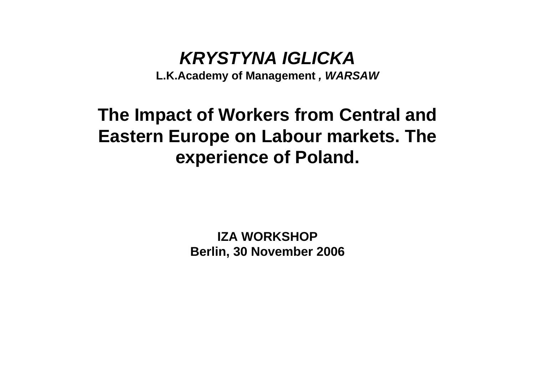## *KRYSTYNA IGLICKA*

**L.K.Academy of Management** *, WARSAW*

## **The Impact of Workers from Central and Eastern Europe on Labour markets. The experience of Poland.**

**IZA WORKSHOPBerlin, 30 November 2006**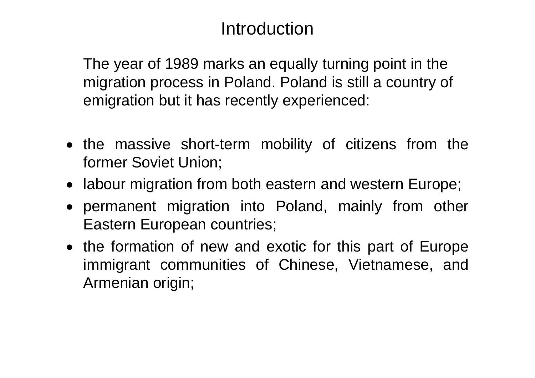## Introduction

The year of 1989 marks an equally turning point in the migration process in Poland. Poland is still a country of emigration but it has recently experienced:

- the massive short-term mobility of citizens from the former Soviet Union;
- labour migration from both eastern and western Europe;
- permanent migration into Poland, mainly from other Eastern European countries;
- the formation of new and exotic for this part of Europe immigrant communities of Chinese, Vietnamese, and Armenian origin;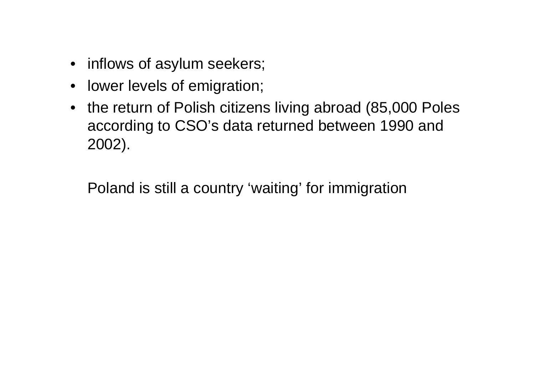- inflows of asylum seekers;
- $\bullet$ lower levels of emigration;
- $\bullet$  the return of Polish citizens living abroad (85,000 Poles according to CSO's data returned between 1990 and 2002).

Poland is still a country 'waiting' for immigration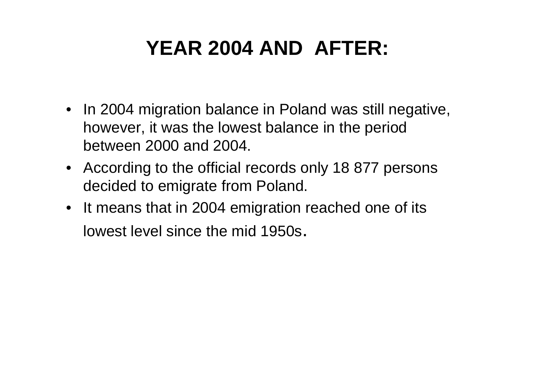# **YEAR 2004 AND AFTER:**

- In 2004 migration balance in Poland was still negative, however, it was the lowest balance in the period between 2000 and 2004.
- According to the official records only 18 877 persons decided to emigrate from Poland.
- It means that in 2004 emigration reached one of its lowest level since the mid 1950s.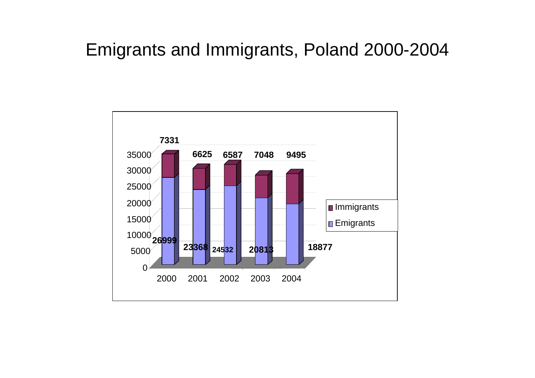## Emigrants and Immigrants, Poland 2000-2004

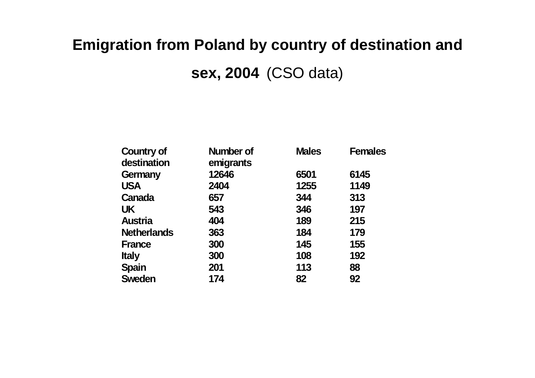## **Emigration from Poland by country of destination and**

**sex, 2004** (CSO data)

| <b>Country of</b><br>destination | <b>Number of</b><br>emigrants | <b>Males</b> | <b>Females</b> |
|----------------------------------|-------------------------------|--------------|----------------|
| Germany                          | 12646                         | 6501         | 6145           |
| <b>USA</b>                       | 2404                          | 1255         | 1149           |
| Canada                           | 657                           | 344          | 313            |
| <b>UK</b>                        | 543                           | 346          | 197            |
| <b>Austria</b>                   | 404                           | 189          | 215            |
| <b>Netherlands</b>               | 363                           | 184          | 179            |
| <b>France</b>                    | 300                           | 145          | 155            |
| <b>Italy</b>                     | 300                           | 108          | 192            |
| <b>Spain</b>                     | 201                           | 113          | 88             |
| <b>Sweden</b>                    | 174                           | 82           | 92             |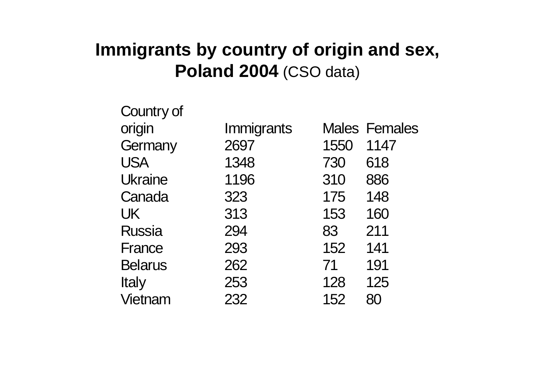## **Immigrants by country of origin and sex, Poland 2004** (CSO data)

| Country of     |            |      |                      |
|----------------|------------|------|----------------------|
| origin         | Immigrants |      | <b>Males Females</b> |
| Germany        | 2697       | 1550 | 1147                 |
| <b>USA</b>     | 1348       | 730  | 618                  |
| <b>Ukraine</b> | 1196       | 310  | 886                  |
| Canada         | 323        | 175  | 148                  |
| UK             | 313        | 153  | 160                  |
| <b>Russia</b>  | 294        | 83   | 211                  |
| France         | 293        | 152  | 141                  |
| <b>Belarus</b> | 262        | 71   | 191                  |
| <b>Italy</b>   | 253        | 128  | 125                  |
| Vietnam        | 232        | 152  | 80                   |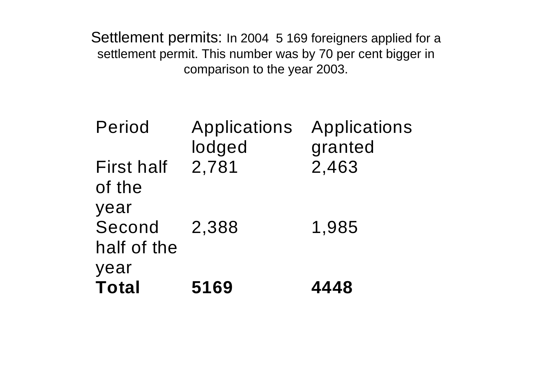Settlement permits: In 2004 5 169 foreigners applied for a settlement permit. This number was by 70 per cent bigger in comparison to the year 2003.

| Period                        | Applications<br>lodged | Applications<br>granted |
|-------------------------------|------------------------|-------------------------|
| <b>First half</b><br>of the   | 2,781                  | 2,463                   |
| year<br>Second<br>half of the | 2,388                  | 1,985                   |
| year<br><b>Total</b>          | 5169                   | 4448                    |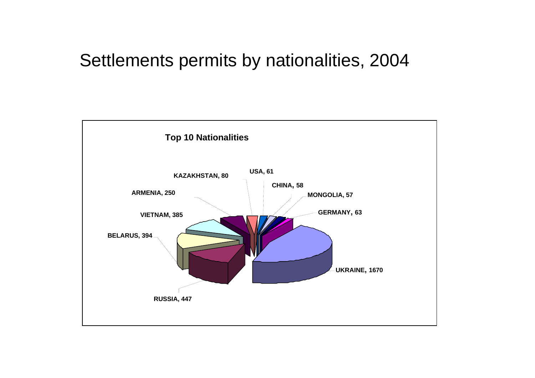## Settlements permits by nationalities, 2004

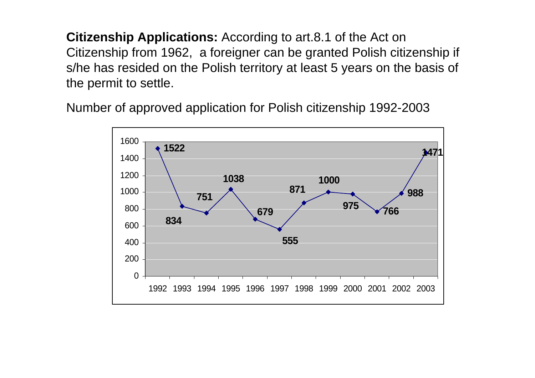**Citizenship Applications:** According to art.8.1 of the Act on Citizenship from 1962, a foreigner can be granted Polish citizenship if s/he has resided on the Polish territory at least 5 years on the basis of the permit to settle.

Number of approved application for Polish citizenship 1992-2003

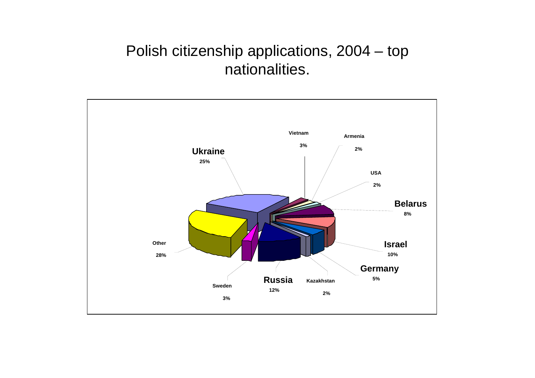#### Polish citizenship applications, 2004 – top nationalities.

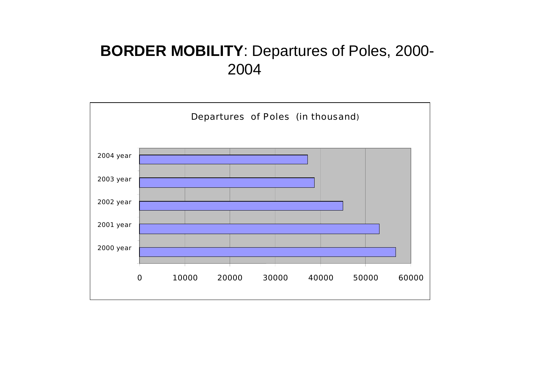#### **BORDER MOBILITY**: Departures of Poles, 2000- 2004

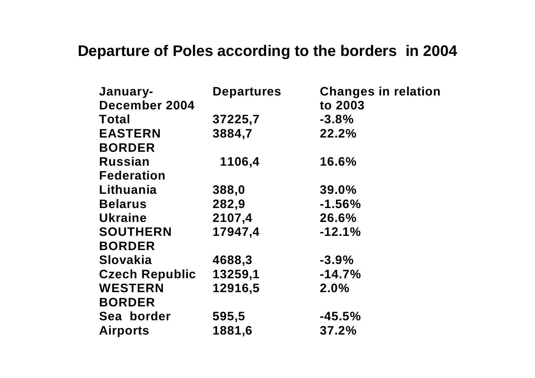#### **Departure of Poles according to the borders in 2004**

| January-              | <b>Departures</b> | <b>Changes in relation</b> |
|-----------------------|-------------------|----------------------------|
| December 2004         |                   | to 2003                    |
| <b>Total</b>          | 37225,7           | $-3.8%$                    |
| <b>EASTERN</b>        | 3884,7            | 22.2%                      |
| <b>BORDER</b>         |                   |                            |
| <b>Russian</b>        | 1106,4            | 16.6%                      |
| <b>Federation</b>     |                   |                            |
| Lithuania             | 388,0             | $39.0\%$                   |
| <b>Belarus</b>        | 282,9             | $-1.56%$                   |
| <b>Ukraine</b>        | 2107,4            | 26.6%                      |
| <b>SOUTHERN</b>       | 17947,4           | $-12.1%$                   |
| <b>BORDER</b>         |                   |                            |
| <b>Slovakia</b>       | 4688,3            | $-3.9%$                    |
| <b>Czech Republic</b> | 13259,1           | $-14.7%$                   |
| <b>WESTERN</b>        | 12916,5           | $2.0\%$                    |
| <b>BORDER</b>         |                   |                            |
| Sea border            | 595,5             | $-45.5%$                   |
| <b>Airports</b>       | 1881,6            | 37.2%                      |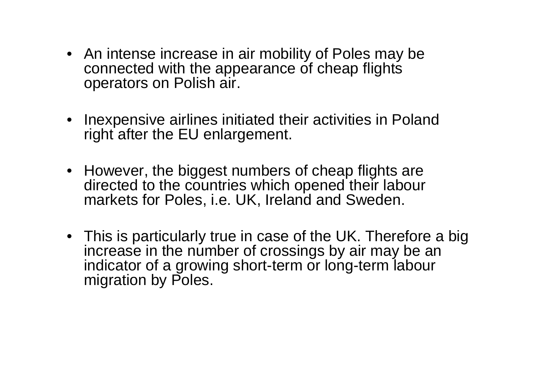- An intense increase in air mobility of Poles may be connected with the appearance of cheap flights operators on Polish air.
- Inexpensive airlines initiated their activities in Poland right after the EU enlargement.
- However, the biggest numbers of cheap flights are directed to the countries which opened their labour markets for Poles, i.e. UK, Ireland and Sweden.
- This is particularly true in case of the UK. Therefore a big increase in the number of crossings by air may be an indicator of a growing short-term or long-term labour migration by Poles.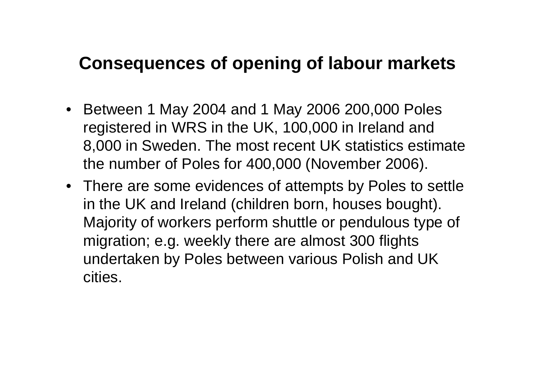## **Consequences of opening of labour markets**

- Between 1 May 2004 and 1 May 2006 200,000 Poles registered in WRS in the UK, 100,000 in Ireland and 8,000 in Sweden. The most recent UK statistics estimate the number of Poles for 400,000 (November 2006).
- There are some evidences of attempts by Poles to settle in the UK and Ireland (children born, houses bought). Majority of workers perform shuttle or pendulous type of migration; e.g. weekly there are almost 300 flights undertaken by Poles between various Polish and UK cities.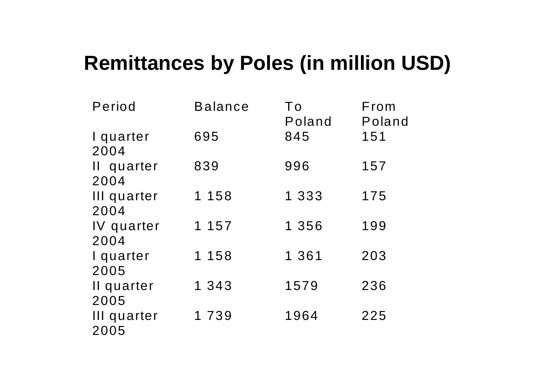## **Remittances by Poles (in million USD)**

| Period              | <b>Balance</b> | To<br>Poland | From<br>Poland |
|---------------------|----------------|--------------|----------------|
| I quarter<br>2004   | 695            | 845          | 151            |
| Il quarter<br>2004  | 839            | 996          | 157            |
| III quarter<br>2004 | 1 1 5 8        | 1 3 3 3      | 175            |
| IV quarter<br>2004  | 1 157          | 1 356        | 199            |
| I quarter<br>2005   | 1 158          | 1 361        | 203            |
| Il quarter<br>2005  | 1 343          | 1579         | 236            |
| III quarter<br>2005 | 1 7 3 9        | 1964         | 225            |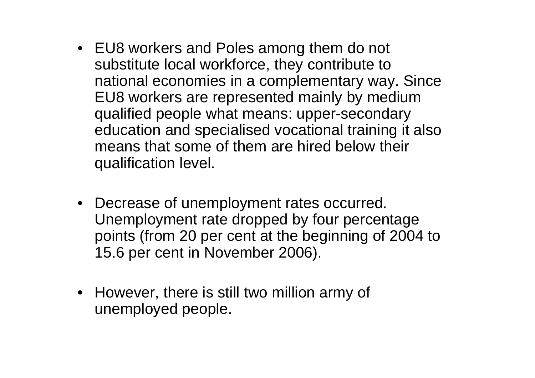- EU8 workers and Poles among them do not substitute local workforce, they contribute to national economies in a complementary way. Since EU8 workers are represented mainly by medium qualified people what means: upper-secondary education and specialised vocational training it also means that some of them are hired below their qualification level.
- Decrease of unemployment rates occurred. Unemployment rate dropped by four percentage points (from 20 per cent at the beginning of 2004 to 15.6 per cent in November 2006).
- However, there is still two million army of unemployed people.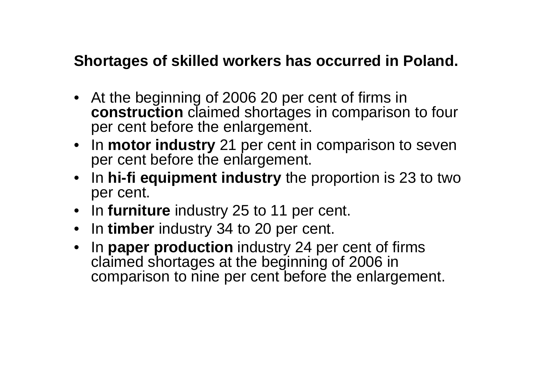#### **Shortages of skilled workers has occurred in Poland.**

- At the beginning of 2006 20 per cent of firms in **construction** claimed shortages in comparison to four per cent before the enlargement.
- $\bullet$ In **motor industry** 21 per cent in comparison to seven per cent before the enlargement.
- $\bullet$  In **hi-fi equipment industry** the proportion is 23 to two per cent.
- $\bullet$ In **furniture** industry 25 to 11 per cent.
- $\bullet$ In **timber** industry 34 to 20 per cent.
- $\bullet$  In **paper production** industry 24 per cent of firms claimed shortages at the beginning of 2006 in comparison to nine per cent before the enlargement.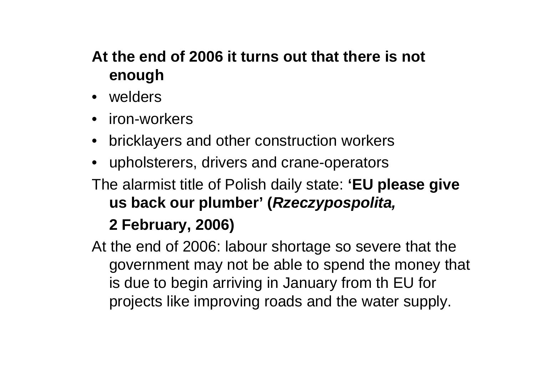### **At the end of 2006 it turns out that there is not enough**

- welders
- iron-workers
- •bricklayers and other construction workers
- •upholsterers, drivers and crane-operators
- The alarmist title of Polish daily state: **'EU please give us back our plumber' (***Rzeczypospolita,*

## **2 February, 2006)**

At the end of 2006: labour shortage so severe that the government may not be able to spend the money that is due to begin arriving in January from th EU for projects like improving roads and the water supply.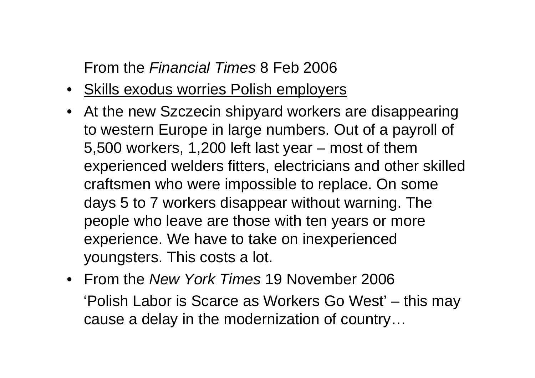#### From the *Financial Times* 8 Feb 2006

- Skills exodus worries Polish employers
- At the new Szczecin shipyard workers are disappearing to western Europe in large numbers. Out of a payroll of 5,500 workers, 1,200 left last year – most of them experienced welders fitters, electricians and other skilled craftsmen who were impossible to replace. On some days 5 to 7 workers disappear without warning. The people who leave are those with ten years or more experience. We have to take on inexperienced youngsters. This costs a lot.
- From the *New York Times* 19 November 2006 'Polish Labor is Scarce as Workers Go West' – this may cause a delay in the modernization of country…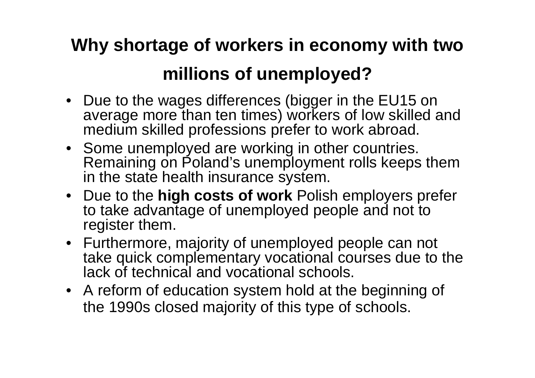# **Why shortage of workers in economy with two millions of unemployed?**

- Due to the wages differences (bigger in the EU15 on average more than ten times) workers of low skilled and medium skilled professions prefer to work abroad.
- Some unemployed are working in other countries. Remaining on Poland's unemployment rolls keeps them in the state health insurance system.
- Due to the **high costs of work** Polish employers prefer to take advantage of unemployed people and not to register them.
- Furthermore, majority of unemployed people can not take quick complementary vocational courses due to the lack of technical and vocational schools.
- A reform of education system hold at the beginning of the 1990s closed majority of this type of schools.